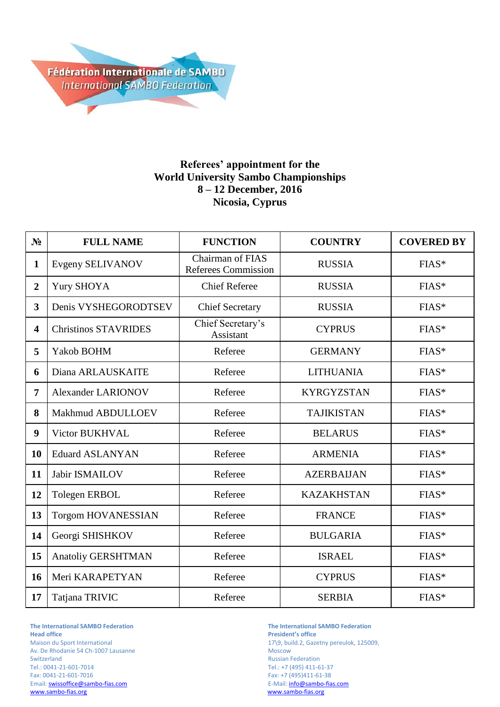

## **Referees' appointment for the World University Sambo Championships 8 – 12 December, 2016 Nicosia, Cyprus**

| N <sub>2</sub>          | <b>FULL NAME</b>            | <b>FUNCTION</b>                                | <b>COUNTRY</b>    | <b>COVERED BY</b> |
|-------------------------|-----------------------------|------------------------------------------------|-------------------|-------------------|
| $\mathbf{1}$            | Evgeny SELIVANOV            | Chairman of FIAS<br><b>Referees Commission</b> | <b>RUSSIA</b>     | FIAS*             |
| $\overline{2}$          | <b>Yury SHOYA</b>           | <b>Chief Referee</b>                           | <b>RUSSIA</b>     | FIAS*             |
| $\overline{3}$          | Denis VYSHEGORODTSEV        | <b>Chief Secretary</b>                         | <b>RUSSIA</b>     | FIAS*             |
| $\overline{\mathbf{4}}$ | <b>Christinos STAVRIDES</b> | Chief Secretary's<br>Assistant                 | <b>CYPRUS</b>     | FIAS*             |
| 5                       | Yakob BOHM                  | Referee                                        | <b>GERMANY</b>    | FIAS*             |
| 6                       | Diana ARLAUSKAITE           | Referee                                        | <b>LITHUANIA</b>  | FIAS*             |
| 7                       | <b>Alexander LARIONOV</b>   | Referee                                        | <b>KYRGYZSTAN</b> | FIAS*             |
| 8                       | Makhmud ABDULLOEV           | Referee                                        | <b>TAJIKISTAN</b> | FIAS*             |
| 9                       | Victor BUKHVAL              | Referee                                        | <b>BELARUS</b>    | FIAS*             |
| 10                      | <b>Eduard ASLANYAN</b>      | Referee                                        | <b>ARMENIA</b>    | FIAS*             |
| 11                      | Jabir ISMAILOV              | Referee                                        | <b>AZERBAIJAN</b> | FIAS*             |
| 12                      | <b>Tolegen ERBOL</b>        | Referee                                        | <b>KAZAKHSTAN</b> | FIAS*             |
| 13                      | <b>Torgom HOVANESSIAN</b>   | Referee                                        | <b>FRANCE</b>     | FIAS*             |
| 14                      | Georgi SHISHKOV             | Referee                                        | <b>BULGARIA</b>   | FIAS*             |
| 15                      | Anatoliy GERSHTMAN          | Referee                                        | <b>ISRAEL</b>     | FIAS*             |
| 16                      | Meri KARAPETYAN             | Referee                                        | <b>CYPRUS</b>     | FIAS*             |
| 17                      | Tatjana TRIVIC              | Referee                                        | <b>SERBIA</b>     | FIAS*             |

Av. De Rhodanie 54 Ch-1007 Lausanne Switzerland Russian Federation<br>
Tel.: 0041-21-601-7014 CHE RUSSIAN Tel.: +7 (495) 411-6 Tel.: 0041-21-601-7014 Tel.: +7 (495) 411-61-37 Email[: swissoffice@sambo-fias.com](mailto:swissoffice@sambo-fias.com)<br>www.sambo-fias.org

**The International SAMBO Federation The International SAMBO Federation President's office** Maison du Sport International 17\9, build.2, Gazetny pereulok, 125009, Av. De Rhodanie 54 Ch-1007 Lausanne Fax: +7 (495)411-61-38<br>E-Mail: info@sambo-fias.com www.sambo-fias.org